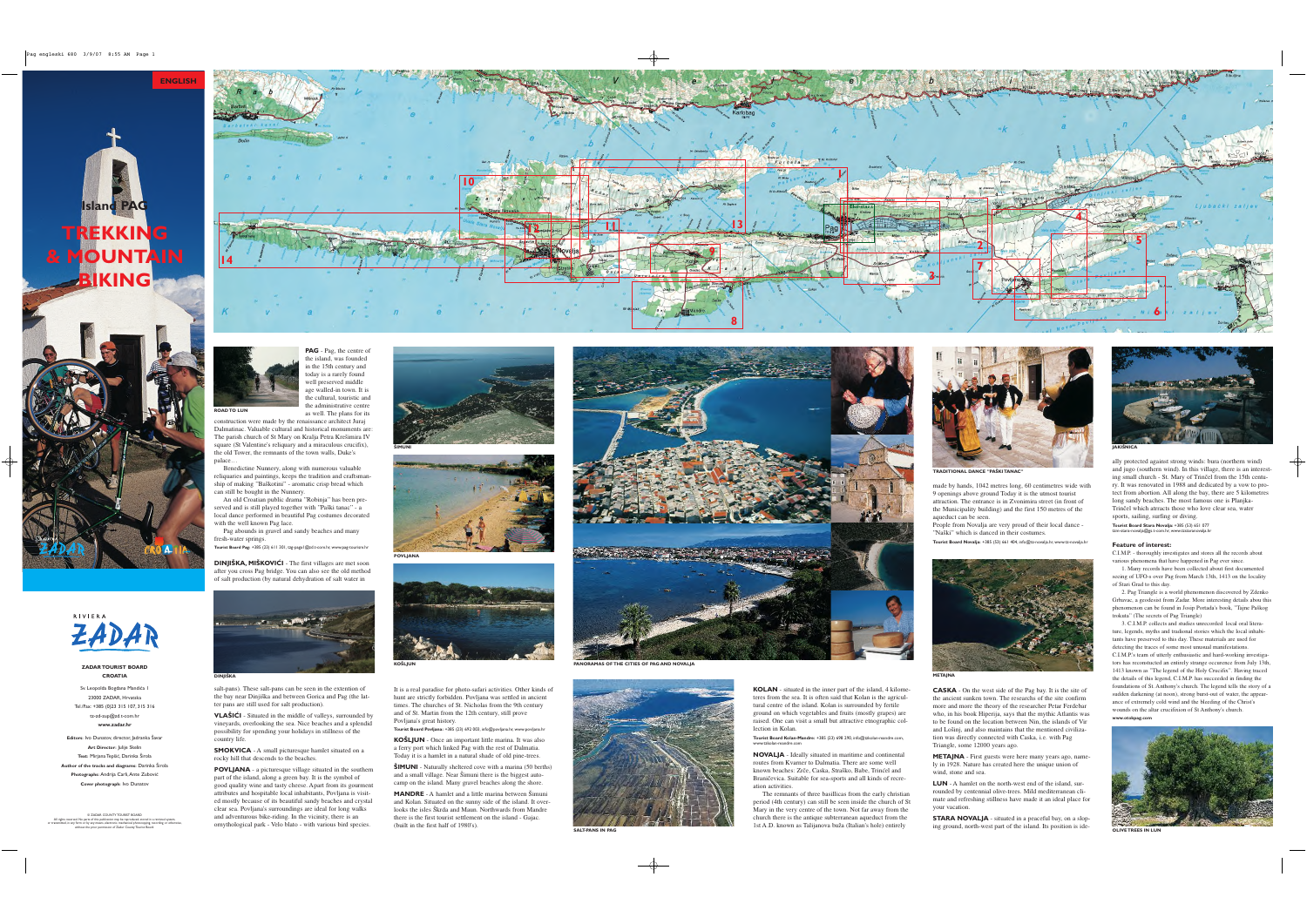**ZADAR TOURIST BOARD CROATIA**

Sv. Leopolda Bogdana Mandića 1 23000 ZADAR, Hrvatska Tel./Fax: +385 (0)23 315 107, 315 316 tz-zd-zup@zd.t-com.hr **www.zadar.hr**

**Editors:** Ivo Dunatov, director, Jadranka Šavar **Art Director:** Julije Skelin **Text:** Mirjana Tepšić, Darinka Širola Author of the tracks and diagrams: Darinka Širola Photographs: Andrija Carli, Ante Zubović **Cover photograph:** Ivo Dunatov

E ZADAR COUNTY TOURIST BOARD<br>All rights reserved. No parts of this publication may be reproduced, stored in a retrieval system,<br>or transmitted, in any form or by any means, electronic, mechanical photocopying, recording or







**KO©LJUN**







**ŠIMUNI** - Naturally sheltered cove with a marina (50 berths) and a small village. Near Šimuni there is the biggest autocamp on the island. Many gravel beaches along the shore.







**TRADITIONAL DANCE "PA©KI TANAC"**



**MANDRE** - A hamlet and a little marina between Šimuni and Kolan. Situated on the sunny side of the island. It overlooks the isles Škrda and Maun. Northwards from Mandre there is the first tourist settlement on the island - Gajac. (built in the first half of 1980's).

It is a real paradise for photo-safari activities. Other kinds of hunt are strictly forbidden. Povljana was settled in ancient times. The churches of St. Nicholas from the 9th century and of St. Martin from the 12th century, still prove Povljana's great history.

> The remnants of three basillicas from the early christian period (4th century) can still be seen inside the church of St Mary in the very centre of the town. Not far away from the church there is the antique subterranean aqueduct from the 1st A.D. known as Talijanova buža (Italian's hole) entirely

**Tourist Board Povljana:** +385 (23) 692 003, info@povljana.hr, www.povljana.hr **KOŠLJUN** - Once an important little marina. It was also a ferry port which linked Pag with the rest of Dalmatia. Today it is a hamlet in a natural shade of old pine-trees.

People from Novalja are very proud of their local dance - "Naški" which is danced in their costumes.

**KOLAN** - situated in the inner part of the island, 4 kilometeres from the sea. It is often said that Kolan is the agricultural centre of the island. Kolan is surrounded by fertile ground on which vegetables and fruits (mostly grapes) are raised. One can visit a small but attractive etnographic collection in Kolan.

**Tourist Board Kolan-Mandre:** +385 (23) 698 290, info@tzkolan-mandre.com, www.tzkolan-mandre.com

**NOVALJA** - Ideally situated in maritime and continental routes from Kvarner to Dalmatia. There are some well known beaches: Zrče, Caska, Straško, Babe, Trinćel and BraniËevica. Suitable for sea-sports and all kinds of recreation activities.

2. Pag Triangle is a world phenomenon discovered by Zdenko Grbavac, a geodesist from Zadar. More interesting details abou this phenomenon can be found in Josip Portada's book, "Tajne Paškog

made by hands, 1042 metres long, 60 centimetres wide with 9 openings above ground Today it is the utmost tourist attraction. The entrance is in Zvonimira street (in front of the Municipality building) and the first 150 metres of the aqueduct can be seen.

**Tourist Board Novalja:** +385 (53) 661 404, info@tz-novalja.hr, www.tz-novalja.hr



**CASKA** - On the west side of the Pag bay. It is the site of the ancient sunken town. The researchs of the site confirm more and more the theory of the researcher Petar Ferdebar who, in his book Hiperija, says that the mythic Atlantis was to be found on the location between Nin, the islands of Vir and Lošinj, and also maintains that the mentioned civilization was directly connected with Caska, i.e. with Pag Triangle, some 12000 years ago.

**DINJIŠKA, MIŠKOVIĆI** - The first villages are met soon after you cross Pag bridge. You can also see the old method of salt production (by natural dehydration of salt water in

> **METAJNA** - First guests were here many years ago, namely in 1928. Nature has created here the unique union of wind, stone and sea.

**VLAŠIĆI** - Situated in the middle of valleys, surrounded by vineyards, overlooking the sea. Nice beaches and a splendid possibility for spending your holidays in stillness of the country life.

**SMOKVICA** - A small picturesque hamlet situated on a rocky hill that descends to the beaches.

> **LUN** - A hamlet on the north-west end of the island, surrounded by centennial olive-trees. Mild mediterranean climate and refreshing stillness have made it an ideal place for your vacation.

**SALT-PANS IN PAG SALT-PANS IN PAG OLIVE TREES IN LUN** IST A.D. Known as I alijanova buza (Italian's hole) entirely ing ground, north-west part of the island. Its position is ide-<br>**CLIVE TREES IN LUN STARA NOVALJA** - situated in a peaceful bay, on a slop-

**POVLJANA** - a picturesque village situated in the southern part of the island, along a green bay. It is the symbol of good quality wine and tasty cheese. Apart from its gourment attributes and hospitable local inhabitants, Povljana is visited mostly because of its beautiful sandy beaches and crystal clear sea. Povljana's surroundings are ideal for long walks and adventurous bike-riding. In the vicinity, there is an ornythological park - Velo blato - with various bird species.

ally protected against strong winds: bura (northern wind) and jugo (southern wind). In this village, there is an interest ing small church - St. Mary of Trinčel from the 15th century. It was renovated in 1988 and dedicated by a vow to pro tect from abortion. All along the bay, there are 5 kilometres long sandy beaches. The most famous one is Planjka- TrinËel which atrracts those who love clear sea, water sports, sailing, surfing or diving. **Tourist Board Stara Novalja:** +385 (53) 651 077 tzm-stara-novalja@gs.t-com.hr, www.tzstaranovalja.hr

# **Feature of interest:**

C.I.M.P. - thoroughly investigates and stores all the records about various phenomena that have happened in Pag ever since. 1. Many records have been collected about first documented seeing of UFO-s over Pag from March 13th, 1413 on the locality of Stari Grad to this day.

trokuta" (The secrets of Pag Triangle)

3. C.I.M.P. collects and studies unrecorded local oral litera ture, legends, myths and tradional stories which the local inhabi tants have preserved to this day. These materials are used for detecting the traces of some most unusual manifestations.

C.I.M.P.'s team of utterly enthusiastic and hard-working investiga tors has reconstucted an entirely strange occurence from July 13th, 1413 known as "The legend of the Holy Crucifix". Having traced the details of this legend, C.I.M.P. has succeeded in finding the foundations of St. Anthony's church. The legend tells the story of a sudden darkening (at noon), strong burst-out of water, the appear ance of extremely cold wind and the bleeding of the Christ's wounds on the altar crucifixion of St Anthony's church.

**www.otokpag.com**





**PAG** - Pag, the centre of the island, was founded in the 15th century and today is a rarely found well preserved middle age walled-in town. It is the cultural, touristic and the administrative centre as well. The plans for its

construction were made by the renaissance architect Juraj Dalmatinac. Valuable cultural and historical monuments are: The parish church of St Mary on Kralja Petra Krešimira IV square (St Valentine's reliquary and a miraculous crucifix), the old Tower, the remnants of the town walls, Duke's palace…

Benedictine Nunnery, along with numerous valuable reliquaries and paintings, keeps the tradition and craftsmanship of making "Baškotini" - aromatic crisp bread which can still be bought in the Nunnery.

An old Croatian public drama "Robinja" has been preserved and is still played together with "Paški tanac" - a local dance performed in beautiful Pag costumes decorated with the well known Pag lace.

Pag abounds in gravel and sandy beaches and many fresh-water springs.

**Tourist Board Pag:** +385 (23) 611 301, tzg-paga1@zd.t-com.hr, www.pag-tourism.hr

salt-pans). These salt-pans can be seen in the extention of the bay near Dinjiška and between Gorica and Pag (the latter pans are still used for salt production).





Pag engleski 680 3/9/07 8:55 AM Page 1